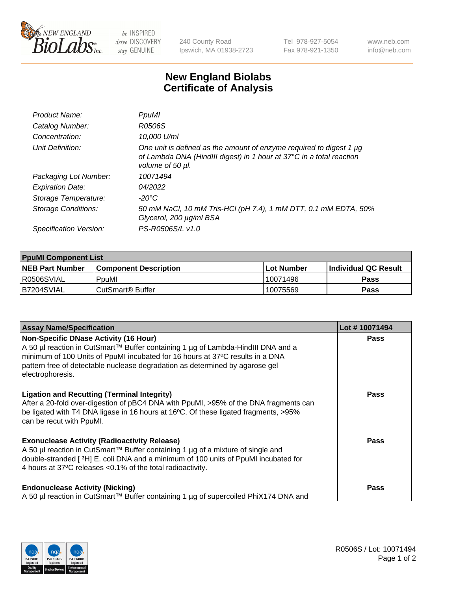

 $be$  INSPIRED drive DISCOVERY stay GENUINE

240 County Road Ipswich, MA 01938-2723 Tel 978-927-5054 Fax 978-921-1350 www.neb.com info@neb.com

## **New England Biolabs Certificate of Analysis**

| Product Name:              | PpuMI                                                                                                                                                           |
|----------------------------|-----------------------------------------------------------------------------------------------------------------------------------------------------------------|
| Catalog Number:            | R0506S                                                                                                                                                          |
| Concentration:             | 10,000 U/ml                                                                                                                                                     |
| Unit Definition:           | One unit is defined as the amount of enzyme required to digest 1 µg<br>of Lambda DNA (HindIII digest) in 1 hour at 37°C in a total reaction<br>volume of 50 µl. |
| Packaging Lot Number:      | 10071494                                                                                                                                                        |
| <b>Expiration Date:</b>    | 04/2022                                                                                                                                                         |
| Storage Temperature:       | -20°C                                                                                                                                                           |
| <b>Storage Conditions:</b> | 50 mM NaCl, 10 mM Tris-HCl (pH 7.4), 1 mM DTT, 0.1 mM EDTA, 50%<br>Glycerol, 200 µg/ml BSA                                                                      |
| Specification Version:     | PS-R0506S/L v1.0                                                                                                                                                |

| <b>PpuMI Component List</b> |                              |            |                       |  |  |
|-----------------------------|------------------------------|------------|-----------------------|--|--|
| <b>NEB Part Number</b>      | <b>Component Description</b> | Lot Number | ∣Individual QC Result |  |  |
| R0506SVIAL                  | PpuMI                        | 10071496   | <b>Pass</b>           |  |  |
| IB7204SVIAL                 | l CutSmart® Buffer           | 10075569   | <b>Pass</b>           |  |  |

| <b>Assay Name/Specification</b>                                                                                                                                                                                                                                                                                       | Lot #10071494 |
|-----------------------------------------------------------------------------------------------------------------------------------------------------------------------------------------------------------------------------------------------------------------------------------------------------------------------|---------------|
| <b>Non-Specific DNase Activity (16 Hour)</b><br>A 50 µl reaction in CutSmart™ Buffer containing 1 µg of Lambda-HindIII DNA and a<br>minimum of 100 Units of PpuMI incubated for 16 hours at 37°C results in a DNA<br>pattern free of detectable nuclease degradation as determined by agarose gel<br>electrophoresis. | <b>Pass</b>   |
| <b>Ligation and Recutting (Terminal Integrity)</b><br>After a 20-fold over-digestion of pBC4 DNA with PpuMI, >95% of the DNA fragments can<br>be ligated with T4 DNA ligase in 16 hours at 16°C. Of these ligated fragments, >95%<br>can be recut with PpuMI.                                                         | Pass          |
| <b>Exonuclease Activity (Radioactivity Release)</b><br>  A 50 µl reaction in CutSmart™ Buffer containing 1 µg of a mixture of single and<br>double-stranded [3H] E. coli DNA and a minimum of 100 units of PpuMI incubated for<br>4 hours at 37°C releases < 0.1% of the total radioactivity.                         | Pass          |
| <b>Endonuclease Activity (Nicking)</b><br>A 50 µl reaction in CutSmart™ Buffer containing 1 µg of supercoiled PhiX174 DNA and                                                                                                                                                                                         | Pass          |